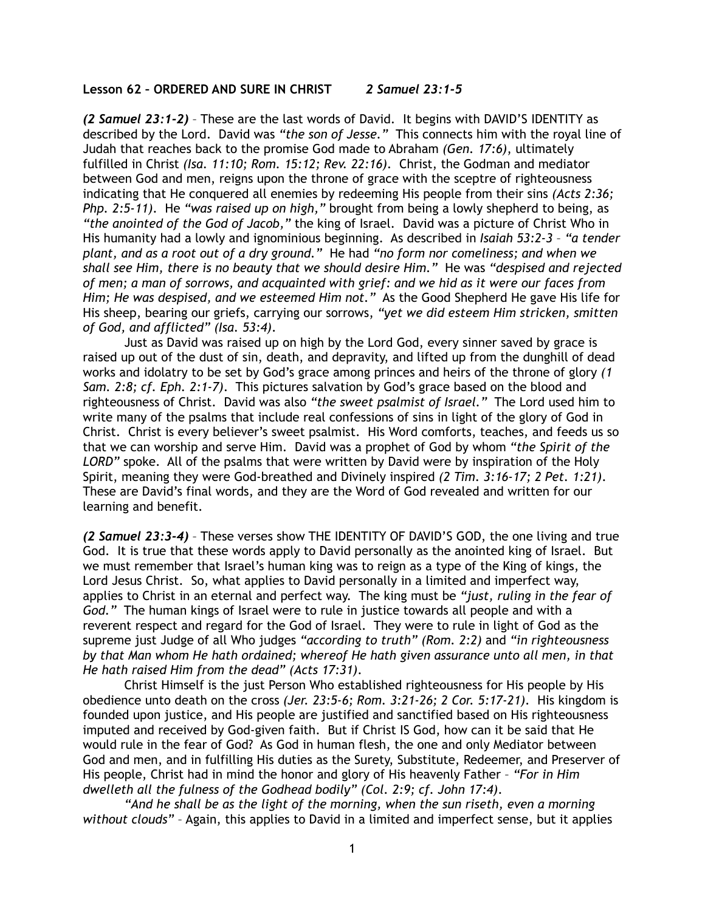## **Lesson 62 – ORDERED AND SURE IN CHRIST** *2 Samuel 23:1-5*

*(2 Samuel 23:1-2)* – These are the last words of David. It begins with DAVID'S IDENTITY as described by the Lord. David was *"the son of Jesse."* This connects him with the royal line of Judah that reaches back to the promise God made to Abraham *(Gen. 17:6)*, ultimately fulfilled in Christ *(Isa. 11:10; Rom. 15:12; Rev. 22:16)*. Christ, the Godman and mediator between God and men, reigns upon the throne of grace with the sceptre of righteousness indicating that He conquered all enemies by redeeming His people from their sins *(Acts 2:36; Php. 2:5-11)*. He *"was raised up on high,"* brought from being a lowly shepherd to being, as *"the anointed of the God of Jacob,"* the king of Israel. David was a picture of Christ Who in His humanity had a lowly and ignominious beginning. As described in *Isaiah 53:2-3* – *"a tender plant, and as a root out of a dry ground."* He had *"no form nor comeliness; and when we shall see Him, there is no beauty that we should desire Him."* He was *"despised and rejected of men; a man of sorrows, and acquainted with grief: and we hid as it were our faces from Him; He was despised, and we esteemed Him not."* As the Good Shepherd He gave His life for His sheep, bearing our griefs, carrying our sorrows, *"yet we did esteem Him stricken, smitten of God, and afflicted" (Isa. 53:4)*.

 Just as David was raised up on high by the Lord God, every sinner saved by grace is raised up out of the dust of sin, death, and depravity, and lifted up from the dunghill of dead works and idolatry to be set by God's grace among princes and heirs of the throne of glory *(1 Sam. 2:8; cf. Eph. 2:1-7)*. This pictures salvation by God's grace based on the blood and righteousness of Christ. David was also *"the sweet psalmist of Israel."* The Lord used him to write many of the psalms that include real confessions of sins in light of the glory of God in Christ. Christ is every believer's sweet psalmist. His Word comforts, teaches, and feeds us so that we can worship and serve Him. David was a prophet of God by whom *"the Spirit of the LORD"* spoke. All of the psalms that were written by David were by inspiration of the Holy Spirit, meaning they were God-breathed and Divinely inspired *(2 Tim. 3:16-17; 2 Pet. 1:21)*. These are David's final words, and they are the Word of God revealed and written for our learning and benefit.

*(2 Samuel 23:3-4)* – These verses show THE IDENTITY OF DAVID'S GOD, the one living and true God. It is true that these words apply to David personally as the anointed king of Israel. But we must remember that Israel's human king was to reign as a type of the King of kings, the Lord Jesus Christ. So, what applies to David personally in a limited and imperfect way, applies to Christ in an eternal and perfect way. The king must be *"just, ruling in the fear of God."* The human kings of Israel were to rule in justice towards all people and with a reverent respect and regard for the God of Israel. They were to rule in light of God as the supreme just Judge of all Who judges *"according to truth" (Rom. 2:2)* and *"in righteousness by that Man whom He hath ordained; whereof He hath given assurance unto all men, in that He hath raised Him from the dead" (Acts 17:31)*.

Christ Himself is the just Person Who established righteousness for His people by His obedience unto death on the cross *(Jer. 23:5-6; Rom. 3:21-26; 2 Cor. 5:17-21)*. His kingdom is founded upon justice, and His people are justified and sanctified based on His righteousness imputed and received by God-given faith. But if Christ IS God, how can it be said that He would rule in the fear of God? As God in human flesh, the one and only Mediator between God and men, and in fulfilling His duties as the Surety, Substitute, Redeemer, and Preserver of His people, Christ had in mind the honor and glory of His heavenly Father – *"For in Him dwelleth all the fulness of the Godhead bodily" (Col. 2:9; cf. John 17:4)*.

*"And he shall be as the light of the morning, when the sun riseth, even a morning without clouds"* – Again, this applies to David in a limited and imperfect sense, but it applies